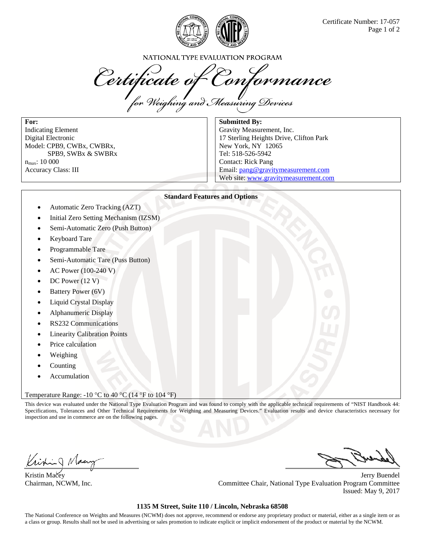

NATIONAL TYPE EVALUATION PROGRAM

Certificate of Conformance

**For:**  Indicating Element Digital Electronic Model: CPB9, CWBx, CWBRx, SPB9, SWBx & SWBRx n<sub>max</sub>: 10 000 Accuracy Class: III

**Submitted By:** 

Gravity Measurement, Inc. 17 Sterling Heights Drive, Clifton Park New York, NY 12065 Tel: 518-526-5942 Contact: Rick Pang Email: pang@gravitymeasurement.com Web site: www.gravitymeasurement.com

## **Standard Features and Options**

- Automatic Zero Tracking (AZT)
- Initial Zero Setting Mechanism (IZSM)
- Semi-Automatic Zero (Push Button)
- Keyboard Tare
- Programmable Tare
- Semi-Automatic Tare (Puss Button)
- AC Power (100-240 V)
- DC Power (12 V)
- Battery Power (6V)
- Liquid Crystal Display
- Alphanumeric Display
- RS232 Communications
- Linearity Calibration Points
- Price calculation
- Weighing
- Counting
- Accumulation

## Temperature Range: -10 °C to 40 °C (14 °F to 104 °F)

This device was evaluated under the National Type Evaluation Program and was found to comply with the applicable technical requirements of "NIST Handbook 44: Specifications, Tolerances and Other Technical Requirements for Weighing and Measuring Devices." Evaluation results and device characteristics necessary for inspection and use in commerce are on the following pages.

Kristin Macey Jerry Buendel Chairman, NCWM, Inc. Committee Chair, National Type Evaluation Program Committee Issued: May 9, 2017

## **1135 M Street, Suite 110 / Lincoln, Nebraska 68508**

The National Conference on Weights and Measures (NCWM) does not approve, recommend or endorse any proprietary product or material, either as a single item or as a class or group. Results shall not be used in advertising or sales promotion to indicate explicit or implicit endorsement of the product or material by the NCWM.